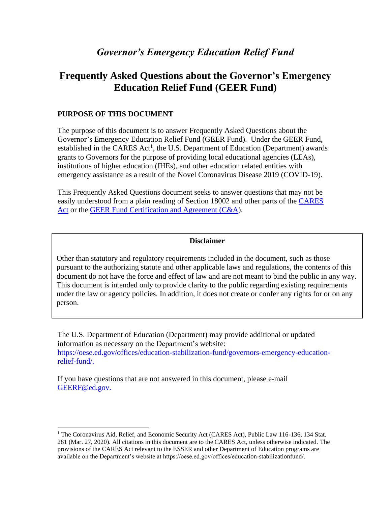# **Frequently Asked Questions about the Governor's Emergency Education Relief Fund (GEER Fund)**

# **PURPOSE OF THIS DOCUMENT**

The purpose of this document is to answer Frequently Asked Questions about the Governor's Emergency Education Relief Fund (GEER Fund). Under the GEER Fund, established in the CARES  $Act<sup>1</sup>$ , the U.S. Department of Education (Department) awards grants to Governors for the purpose of providing local educational agencies (LEAs), institutions of higher education (IHEs), and other education related entities with emergency assistance as a result of the Novel Coronavirus Disease 2019 (COVID-19).

This Frequently Asked Questions document seeks to answer questions that may not be easily understood from a plain reading of Section 18002 and other parts of the [CARES](https://www.congress.gov/116/bills/hr748/BILLS-116hr748enr.pdf)  [Act](https://www.congress.gov/116/bills/hr748/BILLS-116hr748enr.pdf) or the GEER Fund [Certification and Agreement \(C&A\)](https://oese.ed.gov/files/2020/04/ESSERF-Certification-and-Agreement.pdf).

#### **Disclaimer**

Other than statutory and regulatory requirements included in the document, such as those pursuant to the authorizing statute and other applicable laws and regulations, the contents of this document do not have the force and effect of law and are not meant to bind the public in any way. This document is intended only to provide clarity to the public regarding existing requirements under the law or agency policies. In addition, it does not create or confer any rights for or on any person.

The U.S. Department of Education (Department) may provide additional or updated information as necessary on the Department's website: [https://oese.ed.gov/offices/education-stabilization-fund/governors-emergency-education](https://oese.ed.gov/offices/education-stabilization-fund/governors-emergency-education-relief-fund/)[relief-fund/.](https://oese.ed.gov/offices/education-stabilization-fund/governors-emergency-education-relief-fund/)

If you have questions that are not answered in this document, please e-mail [GEERF@ed.gov.](mailto:GEERF@ed.gov)

<sup>&</sup>lt;sup>1</sup> The Coronavirus Aid, Relief, and Economic Security Act (CARES Act), Public Law 116-136, 134 Stat. 281 (Mar. 27, 2020). All citations in this document are to the CARES Act, unless otherwise indicated. The provisions of the CARES Act relevant to the ESSER and other Department of Education programs are available on the Department's website at https://oese.ed.gov/offices/education-stabilizationfund/.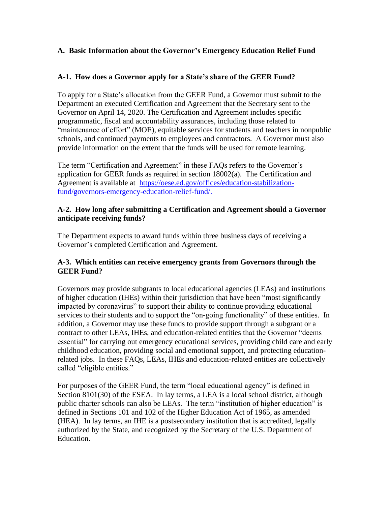## **A. Basic Information about the Governor's Emergency Education Relief Fund**

#### **A-1. How does a Governor apply for a State's share of the GEER Fund?**

To apply for a State's allocation from the GEER Fund, a Governor must submit to the Department an executed Certification and Agreement that the Secretary sent to the Governor on April 14, 2020. The Certification and Agreement includes specific programmatic, fiscal and accountability assurances, including those related to "maintenance of effort" (MOE), equitable services for students and teachers in nonpublic schools, and continued payments to employees and contractors. A Governor must also provide information on the extent that the funds will be used for remote learning.

The term "Certification and Agreement" in these FAQs refers to the Governor's application for GEER funds as required in section 18002(a). The Certification and Agreement is available at [https://oese.ed.gov/offices/education-stabilization](https://oese.ed.gov/offices/education-stabilization-fund/governors-emergency-education-relief-fund/)[fund/governors-emergency-education-relief-fund/.](https://oese.ed.gov/offices/education-stabilization-fund/governors-emergency-education-relief-fund/)

#### **A-2. How long after submitting a Certification and Agreement should a Governor anticipate receiving funds?**

The Department expects to award funds within three business days of receiving a Governor's completed Certification and Agreement.

#### **A-3. Which entities can receive emergency grants from Governors through the GEER Fund?**

Governors may provide subgrants to local educational agencies (LEAs) and institutions of higher education (IHEs) within their jurisdiction that have been "most significantly impacted by coronavirus" to support their ability to continue providing educational services to their students and to support the "on-going functionality" of these entities. In addition, a Governor may use these funds to provide support through a subgrant or a contract to other LEAs, IHEs, and education-related entities that the Governor "deems essential" for carrying out emergency educational services, providing child care and early childhood education, providing social and emotional support, and protecting educationrelated jobs. In these FAQs, LEAs, IHEs and education-related entities are collectively called "eligible entities."

For purposes of the GEER Fund, the term "local educational agency" is defined in Section 8101(30) of the ESEA. In lay terms, a LEA is a local school district, although public charter schools can also be LEAs. The term "institution of higher education" is defined in Sections 101 and 102 of the Higher Education Act of 1965, as amended (HEA). In lay terms, an IHE is a postsecondary institution that is accredited, legally authorized by the State, and recognized by the Secretary of the U.S. Department of Education.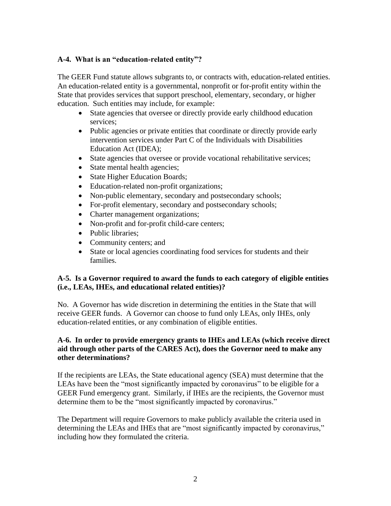### **A-4. What is an "education-related entity"?**

The GEER Fund statute allows subgrants to, or contracts with, education-related entities. An education-related entity is a governmental, nonprofit or for-profit entity within the State that provides services that support preschool, elementary, secondary, or higher education. Such entities may include, for example:

- State agencies that oversee or directly provide early childhood education services;
- Public agencies or private entities that coordinate or directly provide early intervention services under Part C of the Individuals with Disabilities Education Act (IDEA);
- State agencies that oversee or provide vocational rehabilitative services;
- State mental health agencies;
- State Higher Education Boards;
- Education-related non-profit organizations;
- Non-public elementary, secondary and postsecondary schools;
- For-profit elementary, secondary and postsecondary schools;
- Charter management organizations;
- Non-profit and for-profit child-care centers;
- Public libraries;
- Community centers; and
- State or local agencies coordinating food services for students and their families.

#### **A-5. Is a Governor required to award the funds to each category of eligible entities (i.e., LEAs, IHEs, and educational related entities)?**

No. A Governor has wide discretion in determining the entities in the State that will receive GEER funds. A Governor can choose to fund only LEAs, only IHEs, only education-related entities, or any combination of eligible entities.

#### **A-6. In order to provide emergency grants to IHEs and LEAs (which receive direct aid through other parts of the CARES Act), does the Governor need to make any other determinations?**

If the recipients are LEAs, the State educational agency (SEA) must determine that the LEAs have been the "most significantly impacted by coronavirus" to be eligible for a GEER Fund emergency grant. Similarly, if IHEs are the recipients, the Governor must determine them to be the "most significantly impacted by coronavirus."

The Department will require Governors to make publicly available the criteria used in determining the LEAs and IHEs that are "most significantly impacted by coronavirus," including how they formulated the criteria.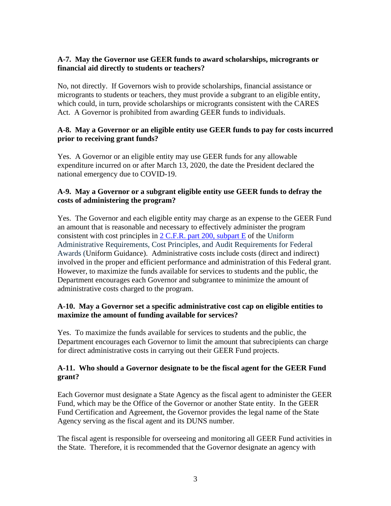## **A-7. May the Governor use GEER funds to award scholarships, microgrants or financial aid directly to students or teachers?**

No, not directly. If Governors wish to provide scholarships, financial assistance or microgrants to students or teachers, they must provide a subgrant to an eligible entity, which could, in turn, provide scholarships or microgrants consistent with the CARES Act. A Governor is prohibited from awarding GEER funds to individuals.

#### **A-8. May a Governor or an eligible entity use GEER funds to pay for costs incurred prior to receiving grant funds?**

Yes. A Governor or an eligible entity may use GEER funds for any allowable expenditure incurred on or after March 13, 2020, the date the President declared the national emergency due to COVID-19.

## **A-9. May a Governor or a subgrant eligible entity use GEER funds to defray the costs of administering the program?**

Yes. The Governor and each eligible entity may charge as an expense to the GEER Fund an amount that is reasonable and necessary to effectively administer the program consistent with cost principles in 2 C.F.R. part 200, [subpart E](https://www.ecfr.gov/cgi-bin/text-idx?tpl=/ecfrbrowse/Title02/2cfr200_main_02.tpl) of the Uniform Administrative Requirements, Cost Principles, and Audit Requirements for Federal Awards (Uniform Guidance). Administrative costs include costs (direct and indirect) involved in the proper and efficient performance and administration of this Federal grant. However, to maximize the funds available for services to students and the public, the Department encourages each Governor and subgrantee to minimize the amount of administrative costs charged to the program.

#### **A-10. May a Governor set a specific administrative cost cap on eligible entities to maximize the amount of funding available for services?**

Yes. To maximize the funds available for services to students and the public, the Department encourages each Governor to limit the amount that subrecipients can charge for direct administrative costs in carrying out their GEER Fund projects.

## **A-11. Who should a Governor designate to be the fiscal agent for the GEER Fund grant?**

Each Governor must designate a State Agency as the fiscal agent to administer the GEER Fund, which may be the Office of the Governor or another State entity. In the GEER Fund Certification and Agreement, the Governor provides the legal name of the State Agency serving as the fiscal agent and its DUNS number.

The fiscal agent is responsible for overseeing and monitoring all GEER Fund activities in the State. Therefore, it is recommended that the Governor designate an agency with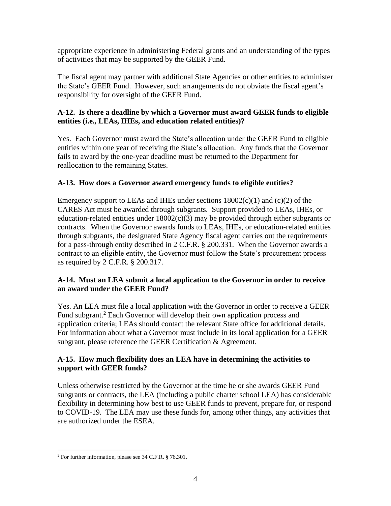appropriate experience in administering Federal grants and an understanding of the types of activities that may be supported by the GEER Fund.

The fiscal agent may partner with additional State Agencies or other entities to administer the State's GEER Fund. However, such arrangements do not obviate the fiscal agent's responsibility for oversight of the GEER Fund.

## **A-12. Is there a deadline by which a Governor must award GEER funds to eligible entities (i.e., LEAs, IHEs, and education related entities)?**

Yes. Each Governor must award the State's allocation under the GEER Fund to eligible entities within one year of receiving the State's allocation. Any funds that the Governor fails to award by the one-year deadline must be returned to the Department for reallocation to the remaining States.

# **A-13. How does a Governor award emergency funds to eligible entities?**

Emergency support to LEAs and IHEs under sections  $18002(c)(1)$  and  $(c)(2)$  of the CARES Act must be awarded through subgrants. Support provided to LEAs, IHEs, or education-related entities under  $18002(c)(3)$  may be provided through either subgrants or contracts. When the Governor awards funds to LEAs, IHEs, or education-related entities through subgrants, the designated State Agency fiscal agent carries out the requirements for a pass-through entity described in 2 C.F.R. § 200.331. When the Governor awards a contract to an eligible entity, the Governor must follow the State's procurement process as required by 2 C.F.R. § 200.317.

# **A-14. Must an LEA submit a local application to the Governor in order to receive an award under the GEER Fund?**

Yes. An LEA must file a local application with the Governor in order to receive a GEER Fund subgrant.<sup>2</sup> Each Governor will develop their own application process and application criteria; LEAs should contact the relevant State office for additional details. For information about what a Governor must include in its local application for a GEER subgrant, please reference the GEER Certification & Agreement.

## **A-15. How much flexibility does an LEA have in determining the activities to support with GEER funds?**

Unless otherwise restricted by the Governor at the time he or she awards GEER Fund subgrants or contracts, the LEA (including a public charter school LEA) has considerable flexibility in determining how best to use GEER funds to prevent, prepare for, or respond to COVID-19. The LEA may use these funds for, among other things, any activities that are authorized under the ESEA.

<sup>2</sup> For further information, please see 34 C.F.R. § 76.301.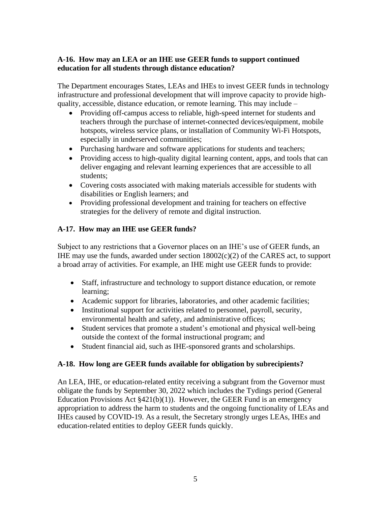## **A-16. How may an LEA or an IHE use GEER funds to support continued education for all students through distance education?**

The Department encourages States, LEAs and IHEs to invest GEER funds in technology infrastructure and professional development that will improve capacity to provide highquality, accessible, distance education, or remote learning. This may include –

- Providing off-campus access to reliable, high-speed internet for students and teachers through the purchase of internet-connected devices/equipment, mobile hotspots, wireless service plans, or installation of Community Wi-Fi Hotspots, especially in underserved communities;
- Purchasing hardware and software applications for students and teachers;
- Providing access to high-quality digital learning content, apps, and tools that can deliver engaging and relevant learning experiences that are accessible to all students;
- Covering costs associated with making materials accessible for students with disabilities or English learners; and
- Providing professional development and training for teachers on effective strategies for the delivery of remote and digital instruction.

# **A-17. How may an IHE use GEER funds?**

Subject to any restrictions that a Governor places on an IHE's use of GEER funds, an IHE may use the funds, awarded under section  $18002(c)(2)$  of the CARES act, to support a broad array of activities. For example, an IHE might use GEER funds to provide:

- Staff, infrastructure and technology to support distance education, or remote learning;
- Academic support for libraries, laboratories, and other academic facilities;
- Institutional support for activities related to personnel, payroll, security, environmental health and safety, and administrative offices;
- Student services that promote a student's emotional and physical well-being outside the context of the formal instructional program; and
- Student financial aid, such as IHE-sponsored grants and scholarships.

## **A-18. How long are GEER funds available for obligation by subrecipients?**

An LEA, IHE, or education-related entity receiving a subgrant from the Governor must obligate the funds by September 30, 2022 which includes the Tydings period (General Education Provisions Act  $$421(b)(1)$ . However, the GEER Fund is an emergency appropriation to address the harm to students and the ongoing functionality of LEAs and IHEs caused by COVID-19. As a result, the Secretary strongly urges LEAs, IHEs and education-related entities to deploy GEER funds quickly.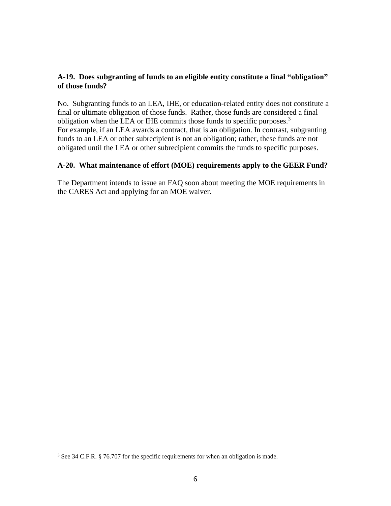## **A-19. Does subgranting of funds to an eligible entity constitute a final "obligation" of those funds?**

No. Subgranting funds to an LEA, IHE, or education-related entity does not constitute a final or ultimate obligation of those funds. Rather, those funds are considered a final obligation when the LEA or IHE commits those funds to specific purposes.<sup>3</sup> For example, if an LEA awards a contract, that is an obligation. In contrast, subgranting funds to an LEA or other subrecipient is not an obligation; rather, these funds are not obligated until the LEA or other subrecipient commits the funds to specific purposes.

#### **A-20. What maintenance of effort (MOE) requirements apply to the GEER Fund?**

The Department intends to issue an FAQ soon about meeting the MOE requirements in the CARES Act and applying for an MOE waiver.

<sup>&</sup>lt;sup>3</sup> See 34 C.F.R. § 76.707 for the specific requirements for when an obligation is made.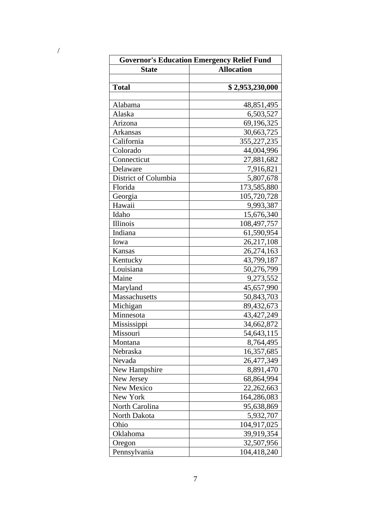| <b>Governor's Education Emergency Relief Fund</b> |                   |
|---------------------------------------------------|-------------------|
| <b>State</b>                                      | <b>Allocation</b> |
|                                                   |                   |
| <b>Total</b>                                      | \$2,953,230,000   |
|                                                   |                   |
| Alabama                                           | 48,851,495        |
| Alaska                                            | 6,503,527         |
| Arizona                                           | 69,196,325        |
| Arkansas                                          | 30,663,725        |
| California                                        | 355,227,235       |
| Colorado                                          | 44,004,996        |
| Connecticut                                       | 27,881,682        |
| Delaware                                          | 7,916,821         |
| District of Columbia                              | 5,807,678         |
| Florida                                           | 173,585,880       |
| Georgia                                           | 105,720,728       |
| Hawaii                                            | 9,993,387         |
| Idaho                                             | 15,676,340        |
| Illinois                                          | 108,497,757       |
| Indiana                                           | 61,590,954        |
| Iowa                                              | 26,217,108        |
| Kansas                                            | 26,274,163        |
| Kentucky                                          | 43,799,187        |
| Louisiana                                         | 50,276,799        |
| Maine                                             | 9,273,552         |
| Maryland                                          | 45,657,990        |
| Massachusetts                                     | 50,843,703        |
| Michigan                                          | 89,432,673        |
| Minnesota                                         | 43, 427, 249      |
| Mississippi                                       | 34,662,872        |
| Missouri                                          | 54,643,115        |
| Montana                                           | 8,764,495         |
| Nebraska                                          | 16,357,685        |
| Nevada                                            | 26,477,349        |
| New Hampshire                                     | 8,891,470         |
| New Jersey                                        | 68,864,994        |
| New Mexico                                        | 22, 262, 663      |
| New York                                          | 164,286,083       |
| North Carolina                                    | 95,638,869        |
| North Dakota                                      | 5,932,707         |
| Ohio                                              | 104,917,025       |
| Oklahoma                                          | 39,919,354        |
| Oregon                                            | 32,507,956        |
| Pennsylvania                                      | 104,418,240       |